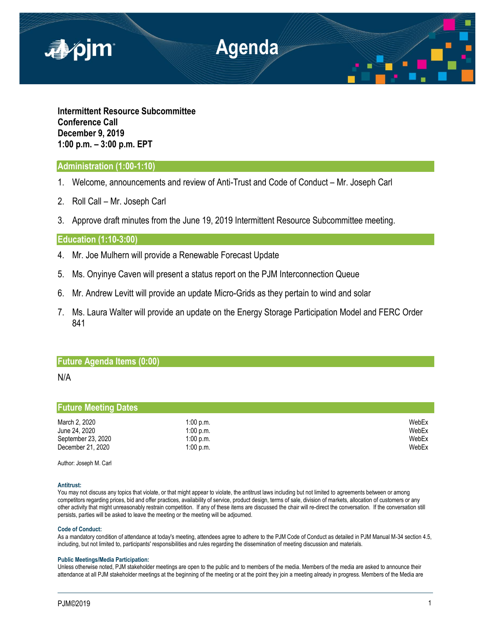

**Intermittent Resource Subcommittee Conference Call December 9, 2019 1:00 p.m. – 3:00 p.m. EPT**

## **Administration (1:00-1:10)**

- 1. Welcome, announcements and review of Anti-Trust and Code of Conduct Mr. Joseph Carl
- 2. Roll Call Mr. Joseph Carl
- 3. Approve draft minutes from the June 19, 2019 Intermittent Resource Subcommittee meeting.

## **Education (1:10-3:00)**

- 4. Mr. Joe Mulhern will provide a Renewable Forecast Update
- 5. Ms. Onyinye Caven will present a status report on the PJM Interconnection Queue
- 6. Mr. Andrew Levitt will provide an update Micro-Grids as they pertain to wind and solar
- 7. Ms. Laura Walter will provide an update on the Energy Storage Participation Model and FERC Order 841

## **Future Agenda Items (0:00)**

## N/A

# **Future Meeting Dates**

| March 2, 2020      | $1:00$ p.m. | WebEx |
|--------------------|-------------|-------|
| June 24, 2020      | $1:00$ p.m. | WebEx |
| September 23, 2020 | $1:00$ p.m. | WebEx |
| December 21, 2020  | $1:00$ p.m. | WebEx |

Author: Joseph M. Carl

### **Antitrust:**

You may not discuss any topics that violate, or that might appear to violate, the antitrust laws including but not limited to agreements between or among competitors regarding prices, bid and offer practices, availability of service, product design, terms of sale, division of markets, allocation of customers or any other activity that might unreasonably restrain competition. If any of these items are discussed the chair will re-direct the conversation. If the conversation still persists, parties will be asked to leave the meeting or the meeting will be adjourned.

#### **Code of Conduct:**

As a mandatory condition of attendance at today's meeting, attendees agree to adhere to the PJM Code of Conduct as detailed in PJM Manual M-34 section 4.5, including, but not limited to, participants' responsibilities and rules regarding the dissemination of meeting discussion and materials.

#### **Public Meetings/Media Participation:**

Unless otherwise noted, PJM stakeholder meetings are open to the public and to members of the media. Members of the media are asked to announce their attendance at all PJM stakeholder meetings at the beginning of the meeting or at the point they join a meeting already in progress. Members of the Media are